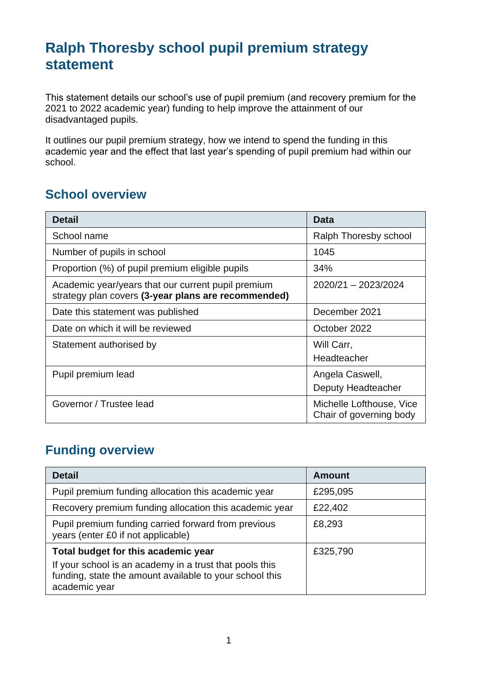## **Ralph Thoresby school pupil premium strategy statement**

This statement details our school's use of pupil premium (and recovery premium for the 2021 to 2022 academic year) funding to help improve the attainment of our disadvantaged pupils.

It outlines our pupil premium strategy, how we intend to spend the funding in this academic year and the effect that last year's spending of pupil premium had within our school.

### **School overview**

| <b>Detail</b>                                                                                             | <b>Data</b>                                         |
|-----------------------------------------------------------------------------------------------------------|-----------------------------------------------------|
| School name                                                                                               | Ralph Thoresby school                               |
| Number of pupils in school                                                                                | 1045                                                |
| Proportion (%) of pupil premium eligible pupils                                                           | 34%                                                 |
| Academic year/years that our current pupil premium<br>strategy plan covers (3-year plans are recommended) | 2020/21 - 2023/2024                                 |
| Date this statement was published                                                                         | December 2021                                       |
| Date on which it will be reviewed                                                                         | October 2022                                        |
| Statement authorised by                                                                                   | Will Carr,<br>Headteacher                           |
| Pupil premium lead                                                                                        | Angela Caswell,<br>Deputy Headteacher               |
| Governor / Trustee lead                                                                                   | Michelle Lofthouse, Vice<br>Chair of governing body |

## **Funding overview**

| <b>Detail</b>                                                                                                                       | <b>Amount</b> |
|-------------------------------------------------------------------------------------------------------------------------------------|---------------|
| Pupil premium funding allocation this academic year                                                                                 | £295,095      |
| Recovery premium funding allocation this academic year                                                                              | £22,402       |
| Pupil premium funding carried forward from previous<br>years (enter £0 if not applicable)                                           | £8,293        |
| Total budget for this academic year                                                                                                 | £325,790      |
| If your school is an academy in a trust that pools this<br>funding, state the amount available to your school this<br>academic year |               |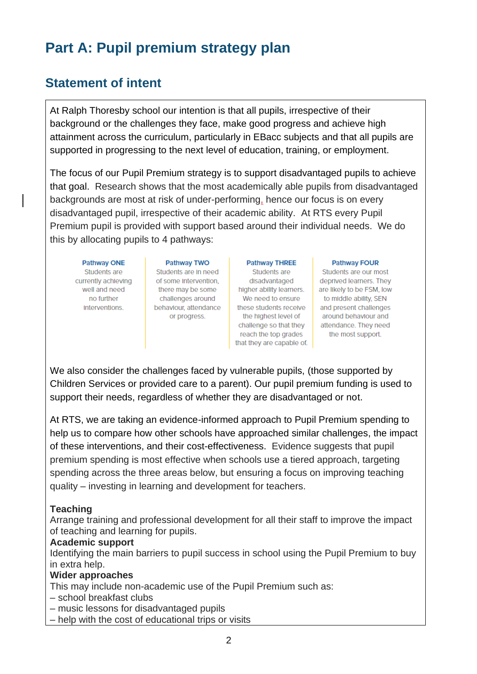# **Part A: Pupil premium strategy plan**

## **Statement of intent**

At Ralph Thoresby school our intention is that all pupils, irrespective of their background or the challenges they face, make good progress and achieve high attainment across the curriculum, particularly in EBacc subjects and that all pupils are supported in progressing to the next level of education, training, or employment.

The focus of our Pupil Premium strategy is to support disadvantaged pupils to achieve that goal. Research shows that the most academically able pupils from disadvantaged backgrounds are most at risk of under-performing, hence our focus is on every disadvantaged pupil, irrespective of their academic ability. At RTS every Pupil Premium pupil is provided with support based around their individual needs. We do this by allocating pupils to 4 pathways:

**Pathway ONE** Students are currently achieving well and need no further interventions.

Pathway TWO Students are In need of some Intervention. there may be some challenges around behavlour, attendance or progress.

**Pathway THREE** Students are disadvantaged higher ability learners. We need to ensure these students receive the highest level of challenge so that they reach the top grades that they are capable of.

#### **Pathway FOUR**

Students are our most deprived learners. They are likely to be FSM, low to middle ability, SEN and present challenges around behavlour and attendance. They need the most support.

We also consider the challenges faced by vulnerable pupils, (those supported by Children Services or provided care to a parent). Our pupil premium funding is used to support their needs, regardless of whether they are disadvantaged or not.

At RTS, we are taking an evidence-informed approach to Pupil Premium spending to help us to compare how other schools have approached similar challenges, the impact of these interventions, and their cost-effectiveness. Evidence suggests that pupil premium spending is most effective when schools use a tiered approach, targeting spending across the three areas below, but ensuring a focus on improving teaching quality – investing in learning and development for teachers.

#### **Teaching**

Arrange training and professional development for all their staff to improve the impact of teaching and learning for pupils.

#### **Academic support**

Identifying the main barriers to pupil success in school using the Pupil Premium to buy in extra help.

#### **Wider approaches**

- This may include non-academic use of the Pupil Premium such as:
- school breakfast clubs
- music lessons for disadvantaged pupils
- help with the cost of educational trips or visits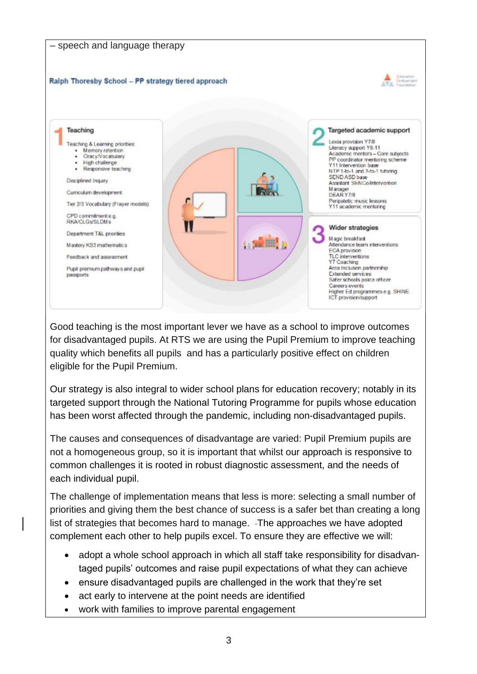

Good teaching is the most important lever we have as a school to improve outcomes for disadvantaged pupils. At RTS we are using the Pupil Premium to improve teaching quality which benefits all pupils and has a particularly positive effect on children eligible for the Pupil Premium.

Our strategy is also integral to wider school plans for education recovery; notably in its targeted support through the National Tutoring Programme for pupils whose education has been worst affected through the pandemic, including non-disadvantaged pupils.

The causes and consequences of disadvantage are varied: Pupil Premium pupils are not a homogeneous group, so it is important that whilst our approach is responsive to common challenges it is rooted in robust diagnostic assessment, and the needs of each individual pupil.

The challenge of implementation means that less is more: selecting a small number of priorities and giving them the best chance of success is a safer bet than creating a long list of strategies that becomes hard to manage. - The approaches we have adopted complement each other to help pupils excel. To ensure they are effective we will:

- adopt a whole school approach in which all staff take responsibility for disadvantaged pupils' outcomes and raise pupil expectations of what they can achieve
- ensure disadvantaged pupils are challenged in the work that they're set
- act early to intervene at the point needs are identified
- work with families to improve parental engagement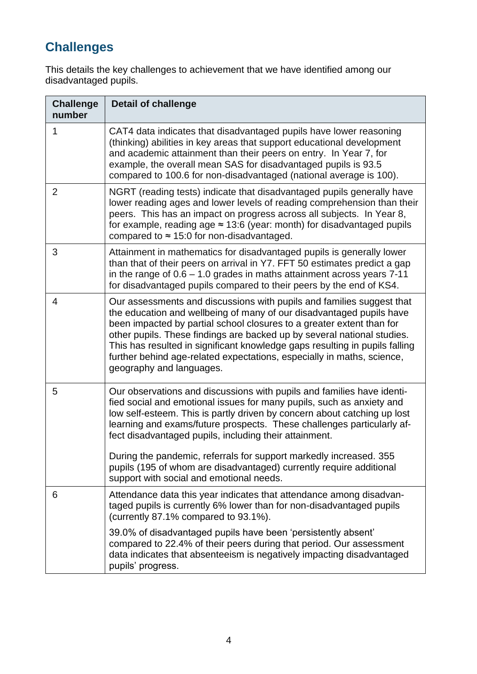## **Challenges**

This details the key challenges to achievement that we have identified among our disadvantaged pupils.

| <b>Challenge</b><br>number | <b>Detail of challenge</b>                                                                                                                                                                                                                                                                                                                                                                                                                                                                                   |
|----------------------------|--------------------------------------------------------------------------------------------------------------------------------------------------------------------------------------------------------------------------------------------------------------------------------------------------------------------------------------------------------------------------------------------------------------------------------------------------------------------------------------------------------------|
| 1                          | CAT4 data indicates that disadvantaged pupils have lower reasoning<br>(thinking) abilities in key areas that support educational development<br>and academic attainment than their peers on entry. In Year 7, for<br>example, the overall mean SAS for disadvantaged pupils is 93.5<br>compared to 100.6 for non-disadvantaged (national average is 100).                                                                                                                                                    |
| $\overline{2}$             | NGRT (reading tests) indicate that disadvantaged pupils generally have<br>lower reading ages and lower levels of reading comprehension than their<br>peers. This has an impact on progress across all subjects. In Year 8,<br>for example, reading age $\approx$ 13:6 (year: month) for disadvantaged pupils<br>compared to $\approx$ 15:0 for non-disadvantaged.                                                                                                                                            |
| 3                          | Attainment in mathematics for disadvantaged pupils is generally lower<br>than that of their peers on arrival in Y7. FFT 50 estimates predict a gap<br>in the range of $0.6 - 1.0$ grades in maths attainment across years $7-11$<br>for disadvantaged pupils compared to their peers by the end of KS4.                                                                                                                                                                                                      |
| 4                          | Our assessments and discussions with pupils and families suggest that<br>the education and wellbeing of many of our disadvantaged pupils have<br>been impacted by partial school closures to a greater extent than for<br>other pupils. These findings are backed up by several national studies.<br>This has resulted in significant knowledge gaps resulting in pupils falling<br>further behind age-related expectations, especially in maths, science,<br>geography and languages.                       |
| 5                          | Our observations and discussions with pupils and families have identi-<br>fied social and emotional issues for many pupils, such as anxiety and<br>low self-esteem. This is partly driven by concern about catching up lost<br>learning and exams/future prospects. These challenges particularly af-<br>fect disadvantaged pupils, including their attainment.<br>During the pandemic, referrals for support markedly increased. 355<br>pupils (195 of whom are disadvantaged) currently require additional |
| 6                          | support with social and emotional needs.<br>Attendance data this year indicates that attendance among disadvan-<br>taged pupils is currently 6% lower than for non-disadvantaged pupils<br>(currently 87.1% compared to 93.1%).                                                                                                                                                                                                                                                                              |
|                            | 39.0% of disadvantaged pupils have been 'persistently absent'<br>compared to 22.4% of their peers during that period. Our assessment<br>data indicates that absenteeism is negatively impacting disadvantaged<br>pupils' progress.                                                                                                                                                                                                                                                                           |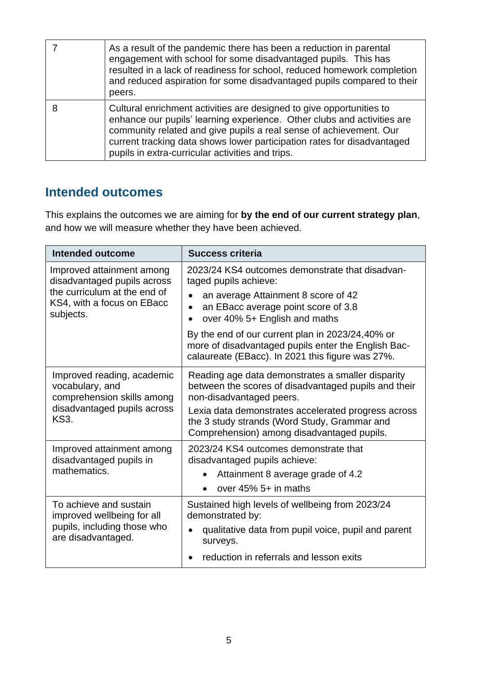| As a result of the pandemic there has been a reduction in parental<br>engagement with school for some disadvantaged pupils. This has<br>resulted in a lack of readiness for school, reduced homework completion<br>and reduced aspiration for some disadvantaged pupils compared to their<br>peers.                                                  |
|------------------------------------------------------------------------------------------------------------------------------------------------------------------------------------------------------------------------------------------------------------------------------------------------------------------------------------------------------|
| Cultural enrichment activities are designed to give opportunities to<br>enhance our pupils' learning experience. Other clubs and activities are<br>community related and give pupils a real sense of achievement. Our<br>current tracking data shows lower participation rates for disadvantaged<br>pupils in extra-curricular activities and trips. |

## **Intended outcomes**

This explains the outcomes we are aiming for **by the end of our current strategy plan**, and how we will measure whether they have been achieved.

| Intended outcome                    | <b>Success criteria</b>                                                                                                                                     |  |
|-------------------------------------|-------------------------------------------------------------------------------------------------------------------------------------------------------------|--|
| Improved attainment among           | 2023/24 KS4 outcomes demonstrate that disadvan-                                                                                                             |  |
| disadvantaged pupils across         | taged pupils achieve:                                                                                                                                       |  |
| the curriculum at the end of        | an average Attainment 8 score of 42                                                                                                                         |  |
| KS4, with a focus on EBacc          | an EBacc average point score of 3.8                                                                                                                         |  |
| subjects.                           | over 40% 5+ English and maths                                                                                                                               |  |
|                                     | By the end of our current plan in 2023/24,40% or<br>more of disadvantaged pupils enter the English Bac-<br>calaureate (EBacc). In 2021 this figure was 27%. |  |
| Improved reading, academic          | Reading age data demonstrates a smaller disparity                                                                                                           |  |
| vocabulary, and                     | between the scores of disadvantaged pupils and their                                                                                                        |  |
| comprehension skills among          | non-disadvantaged peers.                                                                                                                                    |  |
| disadvantaged pupils across<br>KS3. | Lexia data demonstrates accelerated progress across<br>the 3 study strands (Word Study, Grammar and<br>Comprehension) among disadvantaged pupils.           |  |
| Improved attainment among           | 2023/24 KS4 outcomes demonstrate that                                                                                                                       |  |
| disadvantaged pupils in             | disadvantaged pupils achieve:                                                                                                                               |  |
| mathematics.                        | Attainment 8 average grade of 4.2<br>$\bullet$<br>over $45\%$ 5+ in maths                                                                                   |  |
| To achieve and sustain              | Sustained high levels of wellbeing from 2023/24                                                                                                             |  |
| improved wellbeing for all          | demonstrated by:                                                                                                                                            |  |
| pupils, including those who         | qualitative data from pupil voice, pupil and parent                                                                                                         |  |
| are disadvantaged.                  | surveys.                                                                                                                                                    |  |
|                                     | reduction in referrals and lesson exits                                                                                                                     |  |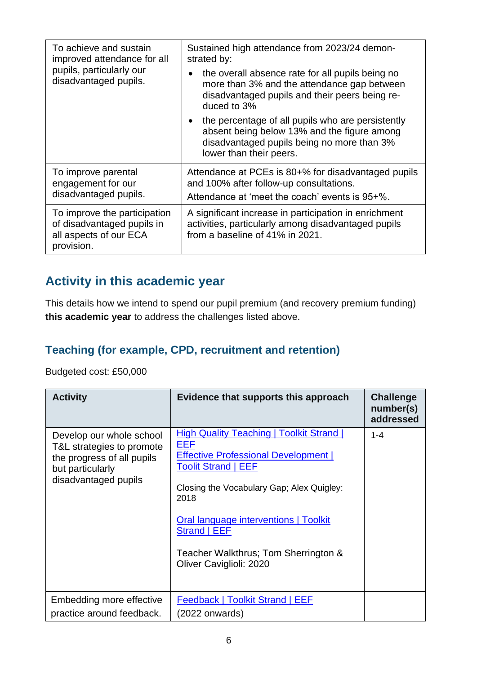| To achieve and sustain<br>improved attendance for all                                              | Sustained high attendance from 2023/24 demon-<br>strated by:                                                                                                                           |  |
|----------------------------------------------------------------------------------------------------|----------------------------------------------------------------------------------------------------------------------------------------------------------------------------------------|--|
| pupils, particularly our<br>disadvantaged pupils.                                                  | the overall absence rate for all pupils being no<br>$\bullet$<br>more than 3% and the attendance gap between<br>disadvantaged pupils and their peers being re-<br>duced to 3%          |  |
|                                                                                                    | the percentage of all pupils who are persistently<br>$\bullet$<br>absent being below 13% and the figure among<br>disadvantaged pupils being no more than 3%<br>lower than their peers. |  |
| To improve parental<br>engagement for our<br>disadvantaged pupils.                                 | Attendance at PCEs is 80+% for disadvantaged pupils<br>and 100% after follow-up consultations.<br>Attendance at 'meet the coach' events is 95+%.                                       |  |
| To improve the participation<br>of disadvantaged pupils in<br>all aspects of our ECA<br>provision. | A significant increase in participation in enrichment<br>activities, particularly among disadvantaged pupils<br>from a baseline of 41% in 2021.                                        |  |

## **Activity in this academic year**

This details how we intend to spend our pupil premium (and recovery premium funding) **this academic year** to address the challenges listed above.

## **Teaching (for example, CPD, recruitment and retention)**

Budgeted cost: £50,000

| <b>Activity</b>                                                                                                                 | Evidence that supports this approach                                                                                                                                                                                                                                                                                 | <b>Challenge</b><br>number(s)<br>addressed |
|---------------------------------------------------------------------------------------------------------------------------------|----------------------------------------------------------------------------------------------------------------------------------------------------------------------------------------------------------------------------------------------------------------------------------------------------------------------|--------------------------------------------|
| Develop our whole school<br>T&L strategies to promote<br>the progress of all pupils<br>but particularly<br>disadvantaged pupils | <b>High Quality Teaching   Toolkit Strand  </b><br>EEF<br><b>Effective Professional Development  </b><br>Toolit Strand   EEF<br>Closing the Vocabulary Gap; Alex Quigley:<br>2018<br><b>Oral language interventions   Toolkit</b><br>Strand   EEF<br>Teacher Walkthrus; Tom Sherrington &<br>Oliver Caviglioli: 2020 | $1 - 4$                                    |
| Embedding more effective<br>practice around feedback.                                                                           | Feedback   Toolkit Strand   EEF<br>$(2022$ onwards)                                                                                                                                                                                                                                                                  |                                            |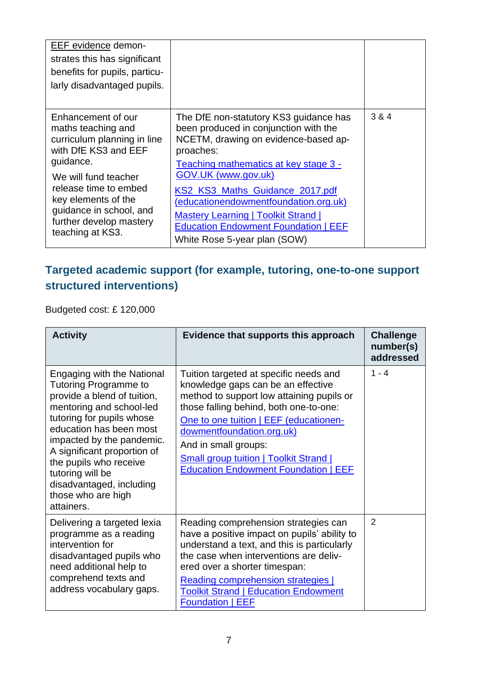| EEF evidence demon-<br>strates this has significant<br>benefits for pupils, particu-<br>larly disadvantaged pupils.                  |                                                                                                                                                                                                       |       |
|--------------------------------------------------------------------------------------------------------------------------------------|-------------------------------------------------------------------------------------------------------------------------------------------------------------------------------------------------------|-------|
| Enhancement of our<br>maths teaching and<br>curriculum planning in line<br>with DfE KS3 and EEF<br>guidance.<br>We will fund teacher | The DfE non-statutory KS3 guidance has<br>been produced in conjunction with the<br>NCETM, drawing on evidence-based ap-<br>proaches:<br>Teaching mathematics at key stage 3 -<br>GOV.UK (www.gov.uk)  | 3 & 4 |
| release time to embed<br>key elements of the<br>quidance in school, and<br>further develop mastery<br>teaching at KS3.               | KS2 KS3 Maths Guidance 2017.pdf<br>(educationendowmentfoundation.org.uk)<br><b>Mastery Learning   Toolkit Strand  </b><br><b>Education Endowment Foundation   EEF</b><br>White Rose 5-year plan (SOW) |       |

### **Targeted academic support (for example, tutoring, one-to-one support structured interventions)**

Budgeted cost: £ 120,000

| <b>Activity</b>                                                                                                                                                                                                                                                                                                                                  | Evidence that supports this approach                                                                                                                                                                                                                                                                                                                               | <b>Challenge</b><br>number(s)<br>addressed |
|--------------------------------------------------------------------------------------------------------------------------------------------------------------------------------------------------------------------------------------------------------------------------------------------------------------------------------------------------|--------------------------------------------------------------------------------------------------------------------------------------------------------------------------------------------------------------------------------------------------------------------------------------------------------------------------------------------------------------------|--------------------------------------------|
| Engaging with the National<br>Tutoring Programme to<br>provide a blend of tuition,<br>mentoring and school-led<br>tutoring for pupils whose<br>education has been most<br>impacted by the pandemic.<br>A significant proportion of<br>the pupils who receive<br>tutoring will be<br>disadvantaged, including<br>those who are high<br>attainers. | Tuition targeted at specific needs and<br>knowledge gaps can be an effective<br>method to support low attaining pupils or<br>those falling behind, both one-to-one:<br>One to one tuition   EEF (educationen-<br>dowmentfoundation.org.uk)<br>And in small groups:<br><b>Small group tuition   Toolkit Strand  </b><br><b>Education Endowment Foundation   EEF</b> | $1 - 4$                                    |
| Delivering a targeted lexia<br>programme as a reading<br>intervention for<br>disadvantaged pupils who<br>need additional help to<br>comprehend texts and<br>address vocabulary gaps.                                                                                                                                                             | Reading comprehension strategies can<br>have a positive impact on pupils' ability to<br>understand a text, and this is particularly<br>the case when interventions are deliv-<br>ered over a shorter timespan:<br>Reading comprehension strategies  <br><b>Toolkit Strand   Education Endowment</b><br><b>Foundation   EEF</b>                                     | 2                                          |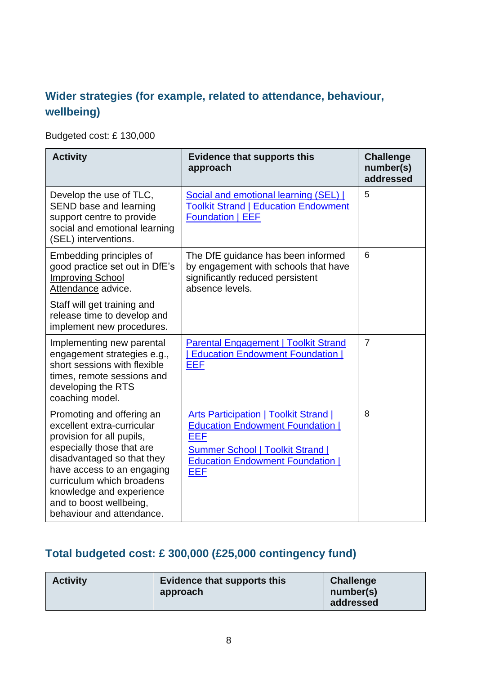### **Wider strategies (for example, related to attendance, behaviour, wellbeing)**

Budgeted cost: £ 130,000

| <b>Activity</b>                                                                                                                                                                                                                                                                                | <b>Evidence that supports this</b><br>approach                                                                                                                                                     | <b>Challenge</b><br>number(s)<br>addressed |
|------------------------------------------------------------------------------------------------------------------------------------------------------------------------------------------------------------------------------------------------------------------------------------------------|----------------------------------------------------------------------------------------------------------------------------------------------------------------------------------------------------|--------------------------------------------|
| Develop the use of TLC,<br>SEND base and learning<br>support centre to provide<br>social and emotional learning<br>(SEL) interventions.                                                                                                                                                        | Social and emotional learning (SEL)  <br><b>Toolkit Strand   Education Endowment</b><br><b>Foundation   EEF</b>                                                                                    | 5                                          |
| Embedding principles of<br>good practice set out in DfE's<br><b>Improving School</b><br>Attendance advice.                                                                                                                                                                                     | The DfE guidance has been informed<br>by engagement with schools that have<br>significantly reduced persistent<br>absence levels.                                                                  | 6                                          |
| Staff will get training and<br>release time to develop and<br>implement new procedures.                                                                                                                                                                                                        |                                                                                                                                                                                                    |                                            |
| Implementing new parental<br>engagement strategies e.g.,<br>short sessions with flexible<br>times, remote sessions and<br>developing the RTS<br>coaching model.                                                                                                                                | <b>Parental Engagement   Toolkit Strand</b><br><b>Education Endowment Foundation  </b><br><b>EEF</b>                                                                                               | $\overline{7}$                             |
| Promoting and offering an<br>excellent extra-curricular<br>provision for all pupils,<br>especially those that are<br>disadvantaged so that they<br>have access to an engaging<br>curriculum which broadens<br>knowledge and experience<br>and to boost wellbeing,<br>behaviour and attendance. | <b>Arts Participation   Toolkit Strand  </b><br><b>Education Endowment Foundation  </b><br><b>EEF</b><br><b>Summer School   Toolkit Strand  </b><br><b>Education Endowment Foundation  </b><br>EEF | 8                                          |

### **Total budgeted cost: £ 300,000 (£25,000 contingency fund)**

| <b>Activity</b> | <b>Evidence that supports this</b><br>approach | <b>Challenge</b><br>number(s)<br>addressed |
|-----------------|------------------------------------------------|--------------------------------------------|
|-----------------|------------------------------------------------|--------------------------------------------|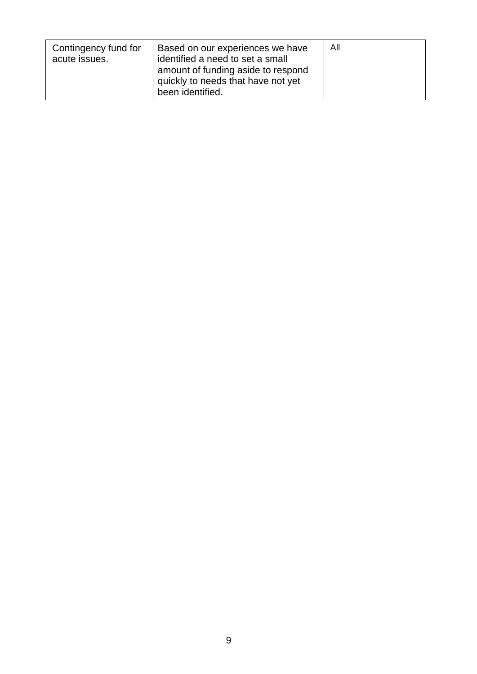| Contingency fund for<br>acute issues. | Based on our experiences we have<br>identified a need to set a small<br>amount of funding aside to respond<br>quickly to needs that have not yet<br>been identified. | All |
|---------------------------------------|----------------------------------------------------------------------------------------------------------------------------------------------------------------------|-----|
|---------------------------------------|----------------------------------------------------------------------------------------------------------------------------------------------------------------------|-----|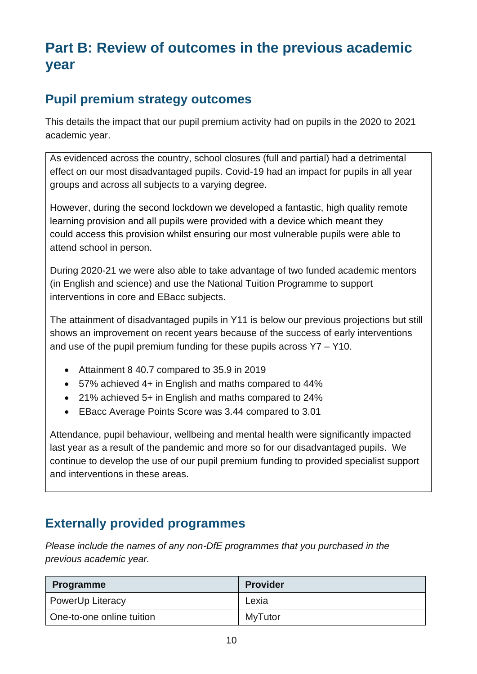## **Part B: Review of outcomes in the previous academic year**

## **Pupil premium strategy outcomes**

This details the impact that our pupil premium activity had on pupils in the 2020 to 2021 academic year.

As evidenced across the country, school closures (full and partial) had a detrimental effect on our most disadvantaged pupils. Covid-19 had an impact for pupils in all year groups and across all subjects to a varying degree.

However, during the second lockdown we developed a fantastic, high quality remote learning provision and all pupils were provided with a device which meant they could access this provision whilst ensuring our most vulnerable pupils were able to attend school in person.

During 2020-21 we were also able to take advantage of two funded academic mentors (in English and science) and use the National Tuition Programme to support interventions in core and EBacc subjects.

The attainment of disadvantaged pupils in Y11 is below our previous projections but still shows an improvement on recent years because of the success of early interventions and use of the pupil premium funding for these pupils across Y7 – Y10.

- Attainment 8 40.7 compared to 35.9 in 2019
- 57% achieved 4+ in English and maths compared to 44%
- 21% achieved 5+ in English and maths compared to 24%
- EBacc Average Points Score was 3.44 compared to 3.01

Attendance, pupil behaviour, wellbeing and mental health were significantly impacted last year as a result of the pandemic and more so for our disadvantaged pupils. We continue to develop the use of our pupil premium funding to provided specialist support and interventions in these areas.

### **Externally provided programmes**

*Please include the names of any non-DfE programmes that you purchased in the previous academic year.* 

| <b>Programme</b>          | <b>Provider</b> |
|---------------------------|-----------------|
| <b>PowerUp Literacy</b>   | Lexia           |
| One-to-one online tuition | MyTutor         |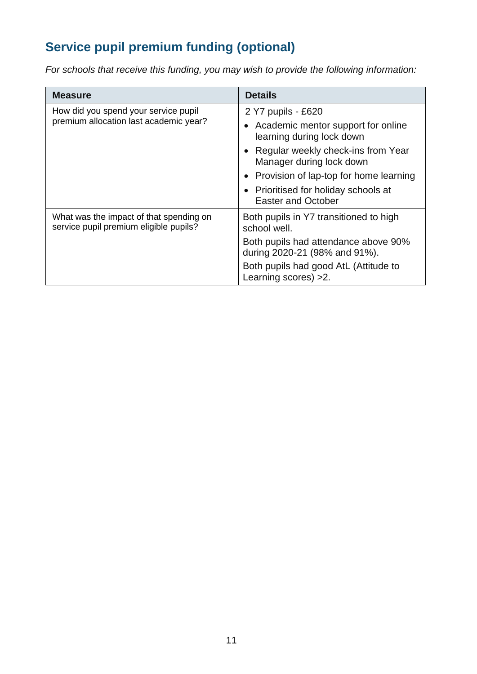## **Service pupil premium funding (optional)**

*For schools that receive this funding, you may wish to provide the following information:* 

| <b>Measure</b>                                                                    | <b>Details</b>                                                        |
|-----------------------------------------------------------------------------------|-----------------------------------------------------------------------|
| How did you spend your service pupil<br>premium allocation last academic year?    | 2 Y7 pupils - £620                                                    |
|                                                                                   | Academic mentor support for online<br>learning during lock down       |
|                                                                                   | • Regular weekly check-ins from Year<br>Manager during lock down      |
|                                                                                   | • Provision of lap-top for home learning                              |
|                                                                                   | • Prioritised for holiday schools at<br><b>Easter and October</b>     |
| What was the impact of that spending on<br>service pupil premium eligible pupils? | Both pupils in Y7 transitioned to high<br>school well.                |
|                                                                                   | Both pupils had attendance above 90%<br>during 2020-21 (98% and 91%). |
|                                                                                   | Both pupils had good AtL (Attitude to<br>Learning scores) > 2.        |